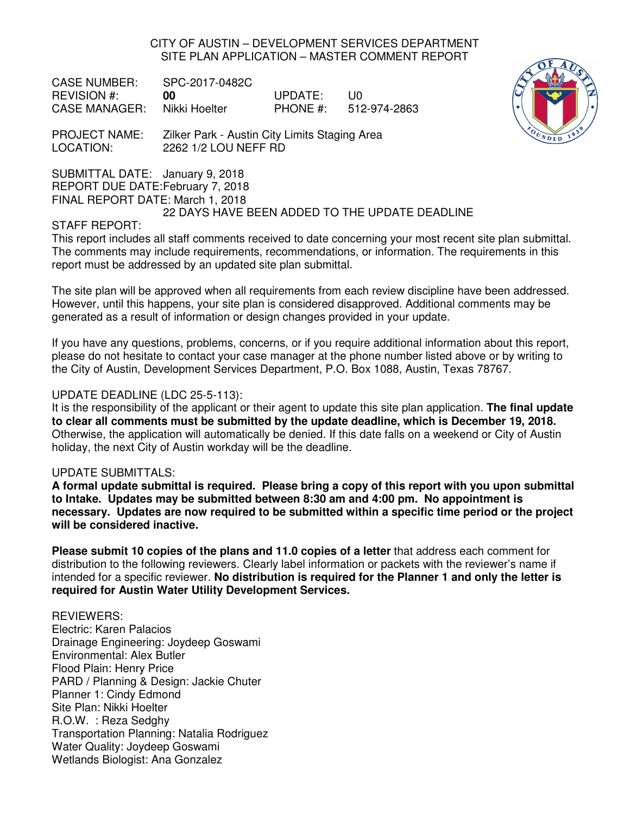CITY OF AUSTIN – DEVELOPMENT SERVICES DEPARTMENT SITE PLAN APPLICATION – MASTER COMMENT REPORT

CASE NUMBER: SPC-2017-0482C REVISION #: **00** UPDATE: U0 CASE MANAGER: Nikki Hoelter PHONE #: 512-974-2863



PROJECT NAME: Zilker Park - Austin City Limits Staging Area LOCATION: 2262 1/2 LOU NEFF RD

SUBMITTAL DATE: January 9, 2018

REPORT DUE DATE: February 7, 2018

FINAL REPORT DATE: March 1, 2018

22 DAYS HAVE BEEN ADDED TO THE UPDATE DEADLINE

## STAFF REPORT:

This report includes all staff comments received to date concerning your most recent site plan submittal. The comments may include requirements, recommendations, or information. The requirements in this report must be addressed by an updated site plan submittal.

The site plan will be approved when all requirements from each review discipline have been addressed. However, until this happens, your site plan is considered disapproved. Additional comments may be generated as a result of information or design changes provided in your update.

If you have any questions, problems, concerns, or if you require additional information about this report, please do not hesitate to contact your case manager at the phone number listed above or by writing to the City of Austin, Development Services Department, P.O. Box 1088, Austin, Texas 78767.

## UPDATE DEADLINE (LDC 25-5-113):

It is the responsibility of the applicant or their agent to update this site plan application. **The final update to clear all comments must be submitted by the update deadline, which is December 19, 2018.**  Otherwise, the application will automatically be denied. If this date falls on a weekend or City of Austin holiday, the next City of Austin workday will be the deadline.

## UPDATE SUBMITTALS:

**A formal update submittal is required. Please bring a copy of this report with you upon submittal to Intake. Updates may be submitted between 8:30 am and 4:00 pm. No appointment is necessary. Updates are now required to be submitted within a specific time period or the project will be considered inactive.** 

**Please submit 10 copies of the plans and 11.0 copies of a letter** that address each comment for distribution to the following reviewers. Clearly label information or packets with the reviewer's name if intended for a specific reviewer. **No distribution is required for the Planner 1 and only the letter is required for Austin Water Utility Development Services.**

# REVIEWERS:

Electric: Karen Palacios Drainage Engineering: Joydeep Goswami Environmental: Alex Butler Flood Plain: Henry Price PARD / Planning & Design: Jackie Chuter Planner 1: Cindy Edmond Site Plan: Nikki Hoelter R.O.W. : Reza Sedghy Transportation Planning: Natalia Rodriguez Water Quality: Joydeep Goswami Wetlands Biologist: Ana Gonzalez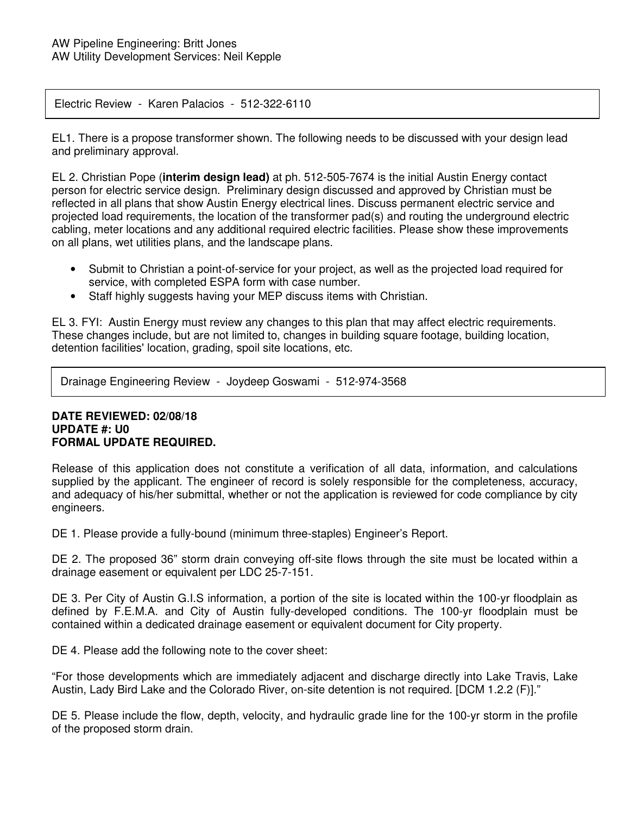### Electric Review - Karen Palacios - 512-322-6110

EL1. There is a propose transformer shown. The following needs to be discussed with your design lead and preliminary approval.

EL 2. Christian Pope (**interim design lead)** at ph. 512-505-7674 is the initial Austin Energy contact person for electric service design. Preliminary design discussed and approved by Christian must be reflected in all plans that show Austin Energy electrical lines. Discuss permanent electric service and projected load requirements, the location of the transformer pad(s) and routing the underground electric cabling, meter locations and any additional required electric facilities. Please show these improvements on all plans, wet utilities plans, and the landscape plans.

- Submit to Christian a point-of-service for your project, as well as the projected load required for service, with completed ESPA form with case number.
- Staff highly suggests having your MEP discuss items with Christian.

EL 3. FYI: Austin Energy must review any changes to this plan that may affect electric requirements. These changes include, but are not limited to, changes in building square footage, building location, detention facilities' location, grading, spoil site locations, etc.

Drainage Engineering Review - Joydeep Goswami - 512-974-3568

### **DATE REVIEWED: 02/08/18 UPDATE #: U0 FORMAL UPDATE REQUIRED.**

Release of this application does not constitute a verification of all data, information, and calculations supplied by the applicant. The engineer of record is solely responsible for the completeness, accuracy, and adequacy of his/her submittal, whether or not the application is reviewed for code compliance by city engineers.

DE 1. Please provide a fully-bound (minimum three-staples) Engineer's Report.

DE 2. The proposed 36" storm drain conveying off-site flows through the site must be located within a drainage easement or equivalent per LDC 25-7-151.

DE 3. Per City of Austin G.I.S information, a portion of the site is located within the 100-yr floodplain as defined by F.E.M.A. and City of Austin fully-developed conditions. The 100-yr floodplain must be contained within a dedicated drainage easement or equivalent document for City property.

DE 4. Please add the following note to the cover sheet:

"For those developments which are immediately adjacent and discharge directly into Lake Travis, Lake Austin, Lady Bird Lake and the Colorado River, on-site detention is not required. [DCM 1.2.2 (F)]."

DE 5. Please include the flow, depth, velocity, and hydraulic grade line for the 100-yr storm in the profile of the proposed storm drain.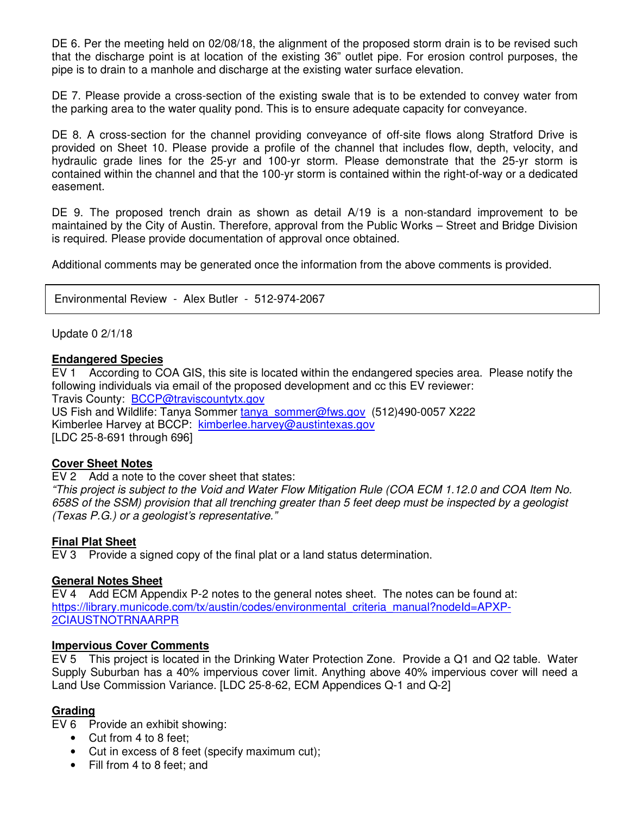DE 6. Per the meeting held on 02/08/18, the alignment of the proposed storm drain is to be revised such that the discharge point is at location of the existing 36" outlet pipe. For erosion control purposes, the pipe is to drain to a manhole and discharge at the existing water surface elevation.

DE 7. Please provide a cross-section of the existing swale that is to be extended to convey water from the parking area to the water quality pond. This is to ensure adequate capacity for conveyance.

DE 8. A cross-section for the channel providing conveyance of off-site flows along Stratford Drive is provided on Sheet 10. Please provide a profile of the channel that includes flow, depth, velocity, and hydraulic grade lines for the 25-yr and 100-yr storm. Please demonstrate that the 25-yr storm is contained within the channel and that the 100-yr storm is contained within the right-of-way or a dedicated easement.

DE 9. The proposed trench drain as shown as detail A/19 is a non-standard improvement to be maintained by the City of Austin. Therefore, approval from the Public Works – Street and Bridge Division is required. Please provide documentation of approval once obtained.

Additional comments may be generated once the information from the above comments is provided.

Environmental Review - Alex Butler - 512-974-2067

Update 0 2/1/18

### **Endangered Species**

EV 1 According to COA GIS, this site is located within the endangered species area. Please notify the following individuals via email of the proposed development and cc this EV reviewer: Travis County: BCCP@traviscountytx.gov US Fish and Wildlife: Tanya Sommer tanya\_sommer@fws.gov (512)490-0057 X222 Kimberlee Harvey at BCCP: kimberlee.harvey@austintexas.gov

[LDC 25-8-691 through 696]

## **Cover Sheet Notes**

EV 2 Add a note to the cover sheet that states:

"This project is subject to the Void and Water Flow Mitigation Rule (COA ECM 1.12.0 and COA Item No. 658S of the SSM) provision that all trenching greater than 5 feet deep must be inspected by a geologist (Texas P.G.) or a geologist's representative."

#### **Final Plat Sheet**

EV 3 Provide a signed copy of the final plat or a land status determination.

## **General Notes Sheet**

EV 4 Add ECM Appendix P-2 notes to the general notes sheet. The notes can be found at: https://library.municode.com/tx/austin/codes/environmental\_criteria\_manual?nodeId=APXP-2CIAUSTNOTRNAARPR

#### **Impervious Cover Comments**

EV 5 This project is located in the Drinking Water Protection Zone. Provide a Q1 and Q2 table. Water Supply Suburban has a 40% impervious cover limit. Anything above 40% impervious cover will need a Land Use Commission Variance. [LDC 25-8-62, ECM Appendices Q-1 and Q-2]

## **Grading**

EV 6 Provide an exhibit showing:

- Cut from 4 to 8 feet:
- Cut in excess of 8 feet (specify maximum cut);
- Fill from 4 to 8 feet; and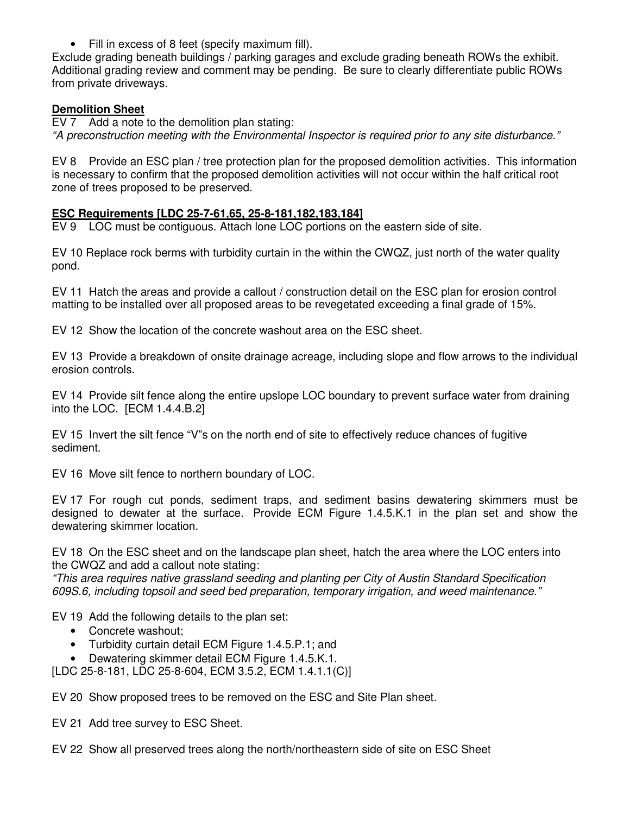• Fill in excess of 8 feet (specify maximum fill).

Exclude grading beneath buildings / parking garages and exclude grading beneath ROWs the exhibit. Additional grading review and comment may be pending. Be sure to clearly differentiate public ROWs from private driveways.

## **Demolition Sheet**

EV 7 Add a note to the demolition plan stating: "A preconstruction meeting with the Environmental Inspector is required prior to any site disturbance."

EV 8 Provide an ESC plan / tree protection plan for the proposed demolition activities. This information is necessary to confirm that the proposed demolition activities will not occur within the half critical root zone of trees proposed to be preserved.

## **ESC Requirements [LDC 25-7-61,65, 25-8-181,182,183,184]**

EV 9 LOC must be contiguous. Attach lone LOC portions on the eastern side of site.

EV 10 Replace rock berms with turbidity curtain in the within the CWQZ, just north of the water quality pond.

EV 11 Hatch the areas and provide a callout / construction detail on the ESC plan for erosion control matting to be installed over all proposed areas to be revegetated exceeding a final grade of 15%.

EV 12 Show the location of the concrete washout area on the ESC sheet.

EV 13 Provide a breakdown of onsite drainage acreage, including slope and flow arrows to the individual erosion controls.

EV 14 Provide silt fence along the entire upslope LOC boundary to prevent surface water from draining into the LOC. [ECM 1.4.4.B.2]

EV 15 Invert the silt fence "V"s on the north end of site to effectively reduce chances of fugitive sediment.

EV 16 Move silt fence to northern boundary of LOC.

EV 17 For rough cut ponds, sediment traps, and sediment basins dewatering skimmers must be designed to dewater at the surface. Provide ECM Figure 1.4.5.K.1 in the plan set and show the dewatering skimmer location.

EV 18 On the ESC sheet and on the landscape plan sheet, hatch the area where the LOC enters into the CWQZ and add a callout note stating:

"This area requires native grassland seeding and planting per City of Austin Standard Specification 609S.6, including topsoil and seed bed preparation, temporary irrigation, and weed maintenance."

EV 19 Add the following details to the plan set:

- Concrete washout:
- Turbidity curtain detail ECM Figure 1.4.5.P.1; and
- Dewatering skimmer detail ECM Figure 1.4.5.K.1.

[LDC 25-8-181, LDC 25-8-604, ECM 3.5.2, ECM 1.4.1.1(C)]

EV 20 Show proposed trees to be removed on the ESC and Site Plan sheet.

EV 21 Add tree survey to ESC Sheet.

EV 22 Show all preserved trees along the north/northeastern side of site on ESC Sheet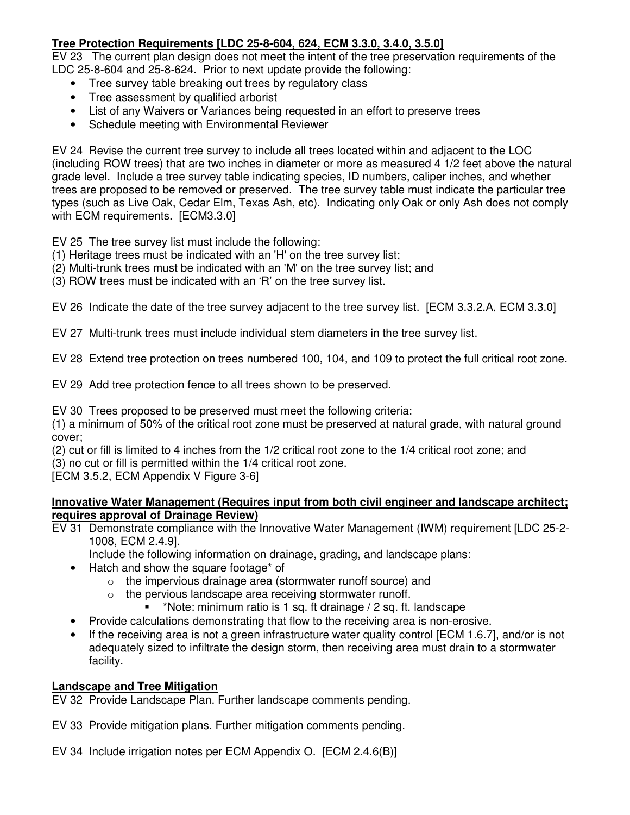# **Tree Protection Requirements [LDC 25-8-604, 624, ECM 3.3.0, 3.4.0, 3.5.0]**

EV 23 The current plan design does not meet the intent of the tree preservation requirements of the LDC 25-8-604 and 25-8-624. Prior to next update provide the following:

- Tree survey table breaking out trees by regulatory class
- Tree assessment by qualified arborist
- List of any Waivers or Variances being requested in an effort to preserve trees
- Schedule meeting with Environmental Reviewer

EV 24 Revise the current tree survey to include all trees located within and adjacent to the LOC (including ROW trees) that are two inches in diameter or more as measured 4 1/2 feet above the natural grade level. Include a tree survey table indicating species, ID numbers, caliper inches, and whether trees are proposed to be removed or preserved. The tree survey table must indicate the particular tree types (such as Live Oak, Cedar Elm, Texas Ash, etc). Indicating only Oak or only Ash does not comply with ECM requirements. [ECM3.3.0]

EV 25 The tree survey list must include the following:

- (1) Heritage trees must be indicated with an 'H' on the tree survey list;
- (2) Multi-trunk trees must be indicated with an 'M' on the tree survey list; and
- (3) ROW trees must be indicated with an 'R' on the tree survey list.

EV 26 Indicate the date of the tree survey adjacent to the tree survey list. [ECM 3.3.2.A, ECM 3.3.0]

EV 27 Multi-trunk trees must include individual stem diameters in the tree survey list.

EV 28 Extend tree protection on trees numbered 100, 104, and 109 to protect the full critical root zone.

EV 29 Add tree protection fence to all trees shown to be preserved.

EV 30 Trees proposed to be preserved must meet the following criteria:

(1) a minimum of 50% of the critical root zone must be preserved at natural grade, with natural ground cover;

(2) cut or fill is limited to 4 inches from the 1/2 critical root zone to the 1/4 critical root zone; and

(3) no cut or fill is permitted within the 1/4 critical root zone.

[ECM 3.5.2, ECM Appendix V Figure 3-6]

## **Innovative Water Management (Requires input from both civil engineer and landscape architect; requires approval of Drainage Review)**

EV 31 Demonstrate compliance with the Innovative Water Management (IWM) requirement [LDC 25-2- 1008, ECM 2.4.9].

Include the following information on drainage, grading, and landscape plans:

- Hatch and show the square footage\* of
	- o the impervious drainage area (stormwater runoff source) and
	- o the pervious landscape area receiving stormwater runoff.
		- \*Note: minimum ratio is 1 sq. ft drainage / 2 sq. ft. landscape
- Provide calculations demonstrating that flow to the receiving area is non-erosive.
- If the receiving area is not a green infrastructure water quality control [ECM 1.6.7], and/or is not adequately sized to infiltrate the design storm, then receiving area must drain to a stormwater facility.

# **Landscape and Tree Mitigation**

EV 32 Provide Landscape Plan. Further landscape comments pending.

EV 33 Provide mitigation plans. Further mitigation comments pending.

EV 34 Include irrigation notes per ECM Appendix O. [ECM 2.4.6(B)]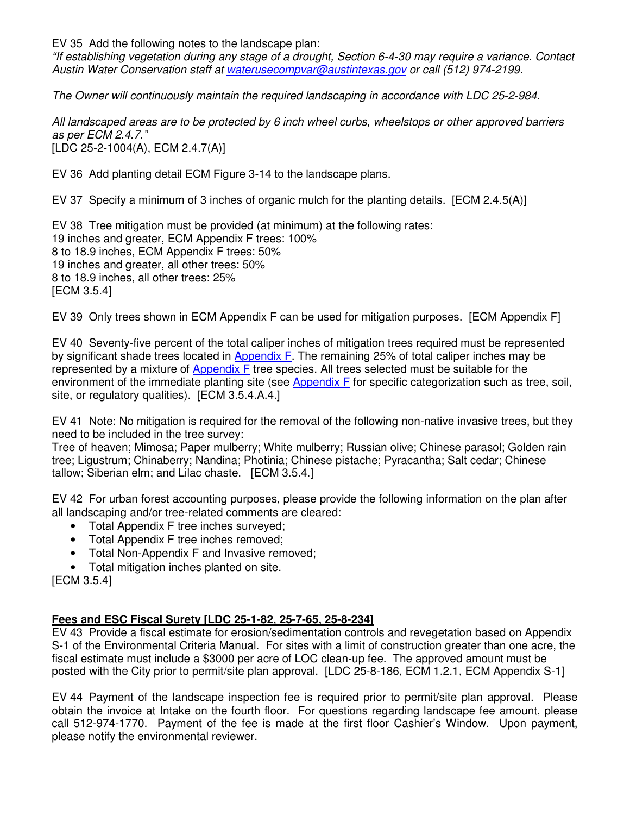EV 35 Add the following notes to the landscape plan:

"If establishing vegetation during any stage of a drought, Section 6-4-30 may require a variance. Contact Austin Water Conservation staff at waterusecompvar@austintexas.gov or call (512) 974-2199.

The Owner will continuously maintain the required landscaping in accordance with LDC 25-2-984.

All landscaped areas are to be protected by 6 inch wheel curbs, wheelstops or other approved barriers as per ECM 2.4.7." [LDC 25-2-1004(A), ECM 2.4.7(A)]

EV 36 Add planting detail ECM Figure 3-14 to the landscape plans.

EV 37 Specify a minimum of 3 inches of organic mulch for the planting details. [ECM 2.4.5(A)]

EV 38 Tree mitigation must be provided (at minimum) at the following rates: 19 inches and greater, ECM Appendix F trees: 100% 8 to 18.9 inches, ECM Appendix F trees: 50% 19 inches and greater, all other trees: 50% 8 to 18.9 inches, all other trees: 25% [ECM 3.5.4]

EV 39 Only trees shown in ECM Appendix F can be used for mitigation purposes. [ECM Appendix F]

EV 40 Seventy-five percent of the total caliper inches of mitigation trees required must be represented by significant shade trees located in Appendix F. The remaining 25% of total caliper inches may be represented by a mixture of Appendix F tree species. All trees selected must be suitable for the environment of the immediate planting site (see Appendix F for specific categorization such as tree, soil, site, or regulatory qualities). [ECM 3.5.4.A.4.]

EV 41 Note: No mitigation is required for the removal of the following non-native invasive trees, but they need to be included in the tree survey:

Tree of heaven; Mimosa; Paper mulberry; White mulberry; Russian olive; Chinese parasol; Golden rain tree; Ligustrum; Chinaberry; Nandina; Photinia; Chinese pistache; Pyracantha; Salt cedar; Chinese tallow; Siberian elm; and Lilac chaste. [ECM 3.5.4.]

EV 42 For urban forest accounting purposes, please provide the following information on the plan after all landscaping and/or tree-related comments are cleared:

- Total Appendix F tree inches surveyed;
- Total Appendix F tree inches removed;
- Total Non-Appendix F and Invasive removed;
- Total mitigation inches planted on site.

[ECM 3.5.4]

## **Fees and ESC Fiscal Surety [LDC 25-1-82, 25-7-65, 25-8-234]**

EV 43 Provide a fiscal estimate for erosion/sedimentation controls and revegetation based on Appendix S-1 of the Environmental Criteria Manual. For sites with a limit of construction greater than one acre, the fiscal estimate must include a \$3000 per acre of LOC clean-up fee. The approved amount must be posted with the City prior to permit/site plan approval. [LDC 25-8-186, ECM 1.2.1, ECM Appendix S-1]

EV 44 Payment of the landscape inspection fee is required prior to permit/site plan approval. Please obtain the invoice at Intake on the fourth floor. For questions regarding landscape fee amount, please call 512-974-1770. Payment of the fee is made at the first floor Cashier's Window. Upon payment, please notify the environmental reviewer.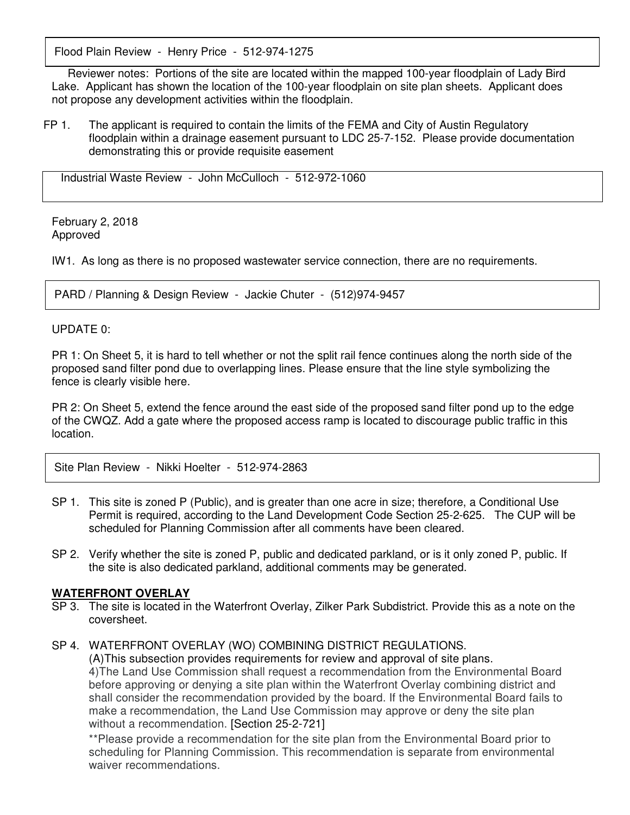Flood Plain Review - Henry Price - 512-974-1275

 Reviewer notes: Portions of the site are located within the mapped 100-year floodplain of Lady Bird Lake. Applicant has shown the location of the 100-year floodplain on site plan sheets. Applicant does not propose any development activities within the floodplain.

 FP 1. The applicant is required to contain the limits of the FEMA and City of Austin Regulatory floodplain within a drainage easement pursuant to LDC 25-7-152. Please provide documentation demonstrating this or provide requisite easement

Industrial Waste Review - John McCulloch - 512-972-1060

February 2, 2018 Approved

IW1. As long as there is no proposed wastewater service connection, there are no requirements.

PARD / Planning & Design Review - Jackie Chuter - (512)974-9457

#### UPDATE 0:

PR 1: On Sheet 5, it is hard to tell whether or not the split rail fence continues along the north side of the proposed sand filter pond due to overlapping lines. Please ensure that the line style symbolizing the fence is clearly visible here.

PR 2: On Sheet 5, extend the fence around the east side of the proposed sand filter pond up to the edge of the CWQZ. Add a gate where the proposed access ramp is located to discourage public traffic in this location.

Site Plan Review - Nikki Hoelter - 512-974-2863

- SP 1. This site is zoned P (Public), and is greater than one acre in size; therefore, a Conditional Use Permit is required, according to the Land Development Code Section 25-2-625. The CUP will be scheduled for Planning Commission after all comments have been cleared.
- SP 2. Verify whether the site is zoned P, public and dedicated parkland, or is it only zoned P, public. If the site is also dedicated parkland, additional comments may be generated.

#### **WATERFRONT OVERLAY**

SP 3. The site is located in the Waterfront Overlay, Zilker Park Subdistrict. Provide this as a note on the coversheet.

# SP 4. WATERFRONT OVERLAY (WO) COMBINING DISTRICT REGULATIONS.

 (A)This subsection provides requirements for review and approval of site plans. 4)The Land Use Commission shall request a recommendation from the Environmental Board before approving or denying a site plan within the Waterfront Overlay combining district and shall consider the recommendation provided by the board. If the Environmental Board fails to make a recommendation, the Land Use Commission may approve or deny the site plan without a recommendation. [Section 25-2-721]

\*\*Please provide a recommendation for the site plan from the Environmental Board prior to scheduling for Planning Commission. This recommendation is separate from environmental waiver recommendations.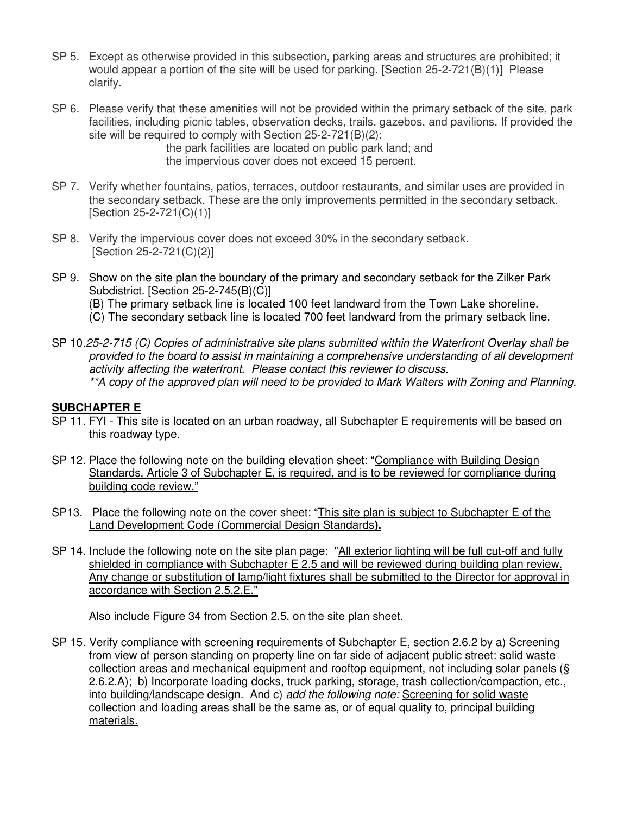- SP 5. Except as otherwise provided in this subsection, parking areas and structures are prohibited; it would appear a portion of the site will be used for parking. [Section 25-2-721(B)(1)] Please clarify.
- SP 6. Please verify that these amenities will not be provided within the primary setback of the site, park facilities, including picnic tables, observation decks, trails, gazebos, and pavilions. If provided the site will be required to comply with Section 25-2-721(B)(2);

 the park facilities are located on public park land; and the impervious cover does not exceed 15 percent.

- SP 7. Verify whether fountains, patios, terraces, outdoor restaurants, and similar uses are provided in the secondary setback. These are the only improvements permitted in the secondary setback. [Section 25-2-721(C)(1)]
- SP 8. Verify the impervious cover does not exceed 30% in the secondary setback. [Section 25-2-721(C)(2)]
- SP 9. Show on the site plan the boundary of the primary and secondary setback for the Zilker Park Subdistrict. [Section 25-2-745(B)(C)]
	- (B) The primary setback line is located 100 feet landward from the Town Lake shoreline.
	- (C) The secondary setback line is located 700 feet landward from the primary setback line.
- SP 10.25-2-715 (C) Copies of administrative site plans submitted within the Waterfront Overlay shall be provided to the board to assist in maintaining a comprehensive understanding of all development activity affecting the waterfront. Please contact this reviewer to discuss. \*\*A copy of the approved plan will need to be provided to Mark Walters with Zoning and Planning.

#### **SUBCHAPTER E**

- SP 11. FYI This site is located on an urban roadway, all Subchapter E requirements will be based on this roadway type.
- SP 12. Place the following note on the building elevation sheet: "Compliance with Building Design Standards, Article 3 of Subchapter E, is required, and is to be reviewed for compliance during building code review."
- SP13. Place the following note on the cover sheet: "This site plan is subject to Subchapter E of the Land Development Code (Commercial Design Standards**).**
- SP 14. Include the following note on the site plan page: "All exterior lighting will be full cut-off and fully shielded in compliance with Subchapter E 2.5 and will be reviewed during building plan review. Any change or substitution of lamp/light fixtures shall be submitted to the Director for approval in accordance with Section 2.5.2.E."

Also include Figure 34 from Section 2.5. on the site plan sheet.

SP 15. Verify compliance with screening requirements of Subchapter E, section 2.6.2 by a) Screening from view of person standing on property line on far side of adjacent public street: solid waste collection areas and mechanical equipment and rooftop equipment, not including solar panels (§ 2.6.2.A); b) Incorporate loading docks, truck parking, storage, trash collection/compaction, etc., into building/landscape design. And c) add the following note: Screening for solid waste collection and loading areas shall be the same as, or of equal quality to, principal building materials.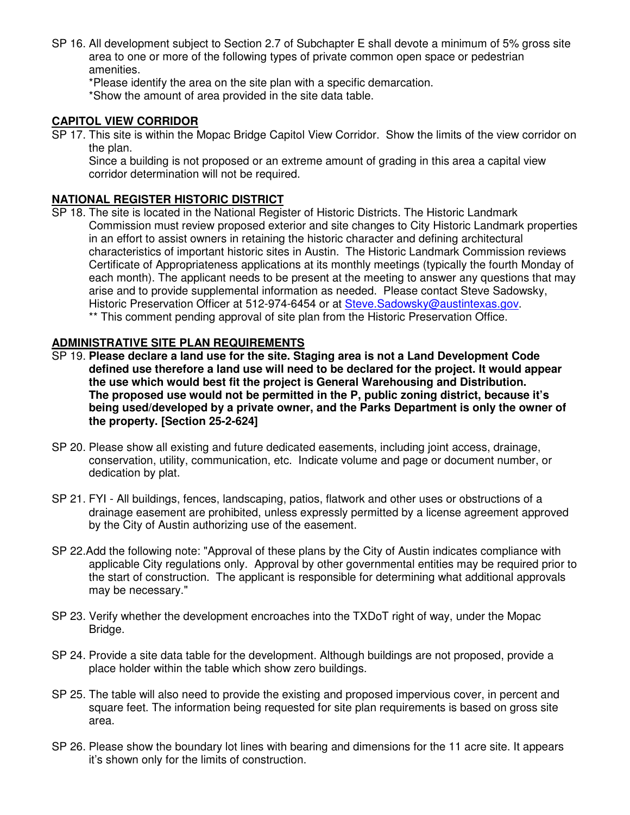SP 16. All development subject to Section 2.7 of Subchapter E shall devote a minimum of 5% gross site area to one or more of the following types of private common open space or pedestrian amenities.

\*Please identify the area on the site plan with a specific demarcation.

\*Show the amount of area provided in the site data table.

## **CAPITOL VIEW CORRIDOR**

SP 17. This site is within the Mopac Bridge Capitol View Corridor. Show the limits of the view corridor on the plan.

Since a building is not proposed or an extreme amount of grading in this area a capital view corridor determination will not be required.

## **NATIONAL REGISTER HISTORIC DISTRICT**

SP 18. The site is located in the National Register of Historic Districts. The Historic Landmark Commission must review proposed exterior and site changes to City Historic Landmark properties in an effort to assist owners in retaining the historic character and defining architectural characteristics of important historic sites in Austin. The Historic Landmark Commission reviews Certificate of Appropriateness applications at its monthly meetings (typically the fourth Monday of each month). The applicant needs to be present at the meeting to answer any questions that may arise and to provide supplemental information as needed. Please contact Steve Sadowsky, Historic Preservation Officer at 512-974-6454 or at Steve.Sadowsky@austintexas.gov. \*\* This comment pending approval of site plan from the Historic Preservation Office.

## **ADMINISTRATIVE SITE PLAN REQUIREMENTS**

- SP 19. **Please declare a land use for the site. Staging area is not a Land Development Code defined use therefore a land use will need to be declared for the project. It would appear the use which would best fit the project is General Warehousing and Distribution. The proposed use would not be permitted in the P, public zoning district, because it's being used/developed by a private owner, and the Parks Department is only the owner of the property. [Section 25-2-624]**
- SP 20. Please show all existing and future dedicated easements, including joint access, drainage, conservation, utility, communication, etc. Indicate volume and page or document number, or dedication by plat.
- SP 21. FYI All buildings, fences, landscaping, patios, flatwork and other uses or obstructions of a drainage easement are prohibited, unless expressly permitted by a license agreement approved by the City of Austin authorizing use of the easement.
- SP 22.Add the following note: "Approval of these plans by the City of Austin indicates compliance with applicable City regulations only. Approval by other governmental entities may be required prior to the start of construction. The applicant is responsible for determining what additional approvals may be necessary."
- SP 23. Verify whether the development encroaches into the TXDoT right of way, under the Mopac Bridge.
- SP 24. Provide a site data table for the development. Although buildings are not proposed, provide a place holder within the table which show zero buildings.
- SP 25. The table will also need to provide the existing and proposed impervious cover, in percent and square feet. The information being requested for site plan requirements is based on gross site area.
- SP 26. Please show the boundary lot lines with bearing and dimensions for the 11 acre site. It appears it's shown only for the limits of construction.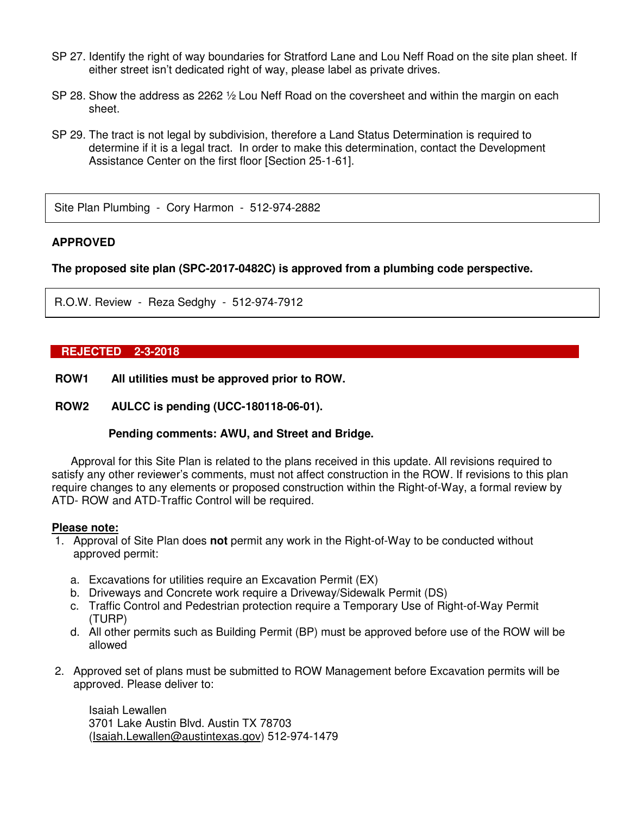- SP 27. Identify the right of way boundaries for Stratford Lane and Lou Neff Road on the site plan sheet. If either street isn't dedicated right of way, please label as private drives.
- SP 28. Show the address as 2262 ½ Lou Neff Road on the coversheet and within the margin on each sheet.
- SP 29. The tract is not legal by subdivision, therefore a Land Status Determination is required to determine if it is a legal tract. In order to make this determination, contact the Development Assistance Center on the first floor [Section 25-1-61].

Site Plan Plumbing - Cory Harmon - 512-974-2882

#### **APPROVED**

**The proposed site plan (SPC-2017-0482C) is approved from a plumbing code perspective.** 

R.O.W. Review - Reza Sedghy - 512-974-7912

#### **REJECTED 2-3-2018**

- **ROW1 All utilities must be approved prior to ROW.**
- **ROW2 AULCC is pending (UCC-180118-06-01).**

#### **Pending comments: AWU, and Street and Bridge.**

Approval for this Site Plan is related to the plans received in this update. All revisions required to satisfy any other reviewer's comments, must not affect construction in the ROW. If revisions to this plan require changes to any elements or proposed construction within the Right-of-Way, a formal review by ATD- ROW and ATD-Traffic Control will be required.

#### **Please note:**

- 1. Approval of Site Plan does **not** permit any work in the Right-of-Way to be conducted without approved permit:
	- a. Excavations for utilities require an Excavation Permit (EX)
	- b. Driveways and Concrete work require a Driveway/Sidewalk Permit (DS)
	- c. Traffic Control and Pedestrian protection require a Temporary Use of Right-of-Way Permit (TURP)
	- d. All other permits such as Building Permit (BP) must be approved before use of the ROW will be allowed
- 2. Approved set of plans must be submitted to ROW Management before Excavation permits will be approved. Please deliver to:

 Isaiah Lewallen 3701 Lake Austin Blvd. Austin TX 78703 (Isaiah.Lewallen@austintexas.gov) 512-974-1479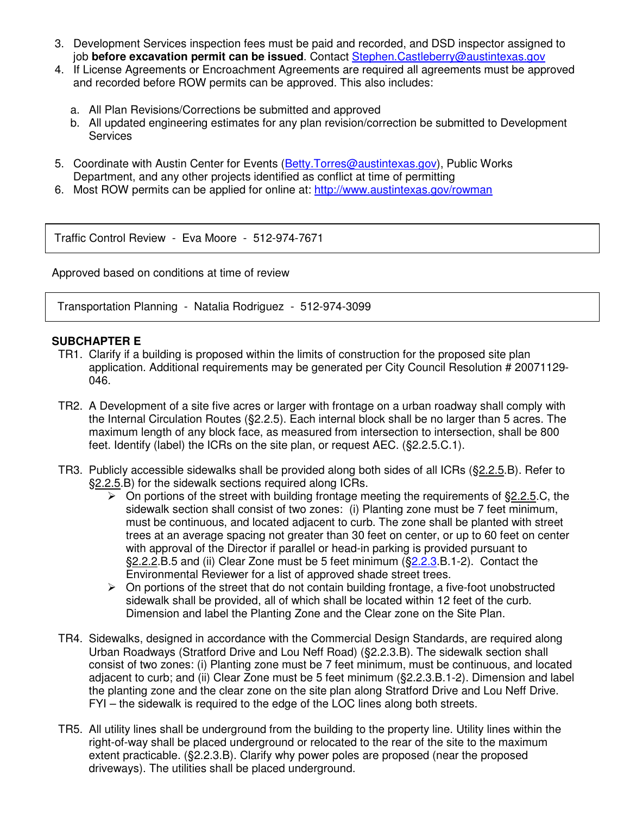- 3. Development Services inspection fees must be paid and recorded, and DSD inspector assigned to job **before excavation permit can be issued**. Contact Stephen.Castleberry@austintexas.gov
- 4. If License Agreements or Encroachment Agreements are required all agreements must be approved and recorded before ROW permits can be approved. This also includes:
	- a. All Plan Revisions/Corrections be submitted and approved
	- b. All updated engineering estimates for any plan revision/correction be submitted to Development **Services**
- 5. Coordinate with Austin Center for Events (Betty. Torres@austintexas.gov), Public Works Department, and any other projects identified as conflict at time of permitting
- 6. Most ROW permits can be applied for online at: http://www.austintexas.gov/rowman

Traffic Control Review - Eva Moore - 512-974-7671

Approved based on conditions at time of review

Transportation Planning - Natalia Rodriguez - 512-974-3099

## **SUBCHAPTER E**

- TR1. Clarify if a building is proposed within the limits of construction for the proposed site plan application. Additional requirements may be generated per City Council Resolution # 20071129- 046.
- TR2. A Development of a site five acres or larger with frontage on a urban roadway shall comply with the Internal Circulation Routes (§2.2.5). Each internal block shall be no larger than 5 acres. The maximum length of any block face, as measured from intersection to intersection, shall be 800 feet. Identify (label) the ICRs on the site plan, or request AEC. (§2.2.5.C.1).
- TR3. Publicly accessible sidewalks shall be provided along both sides of all ICRs (§2.2.5.B). Refer to §2.2.5.B) for the sidewalk sections required along ICRs.
	- $\triangleright$  On portions of the street with building frontage meeting the requirements of §2.2.5.C, the sidewalk section shall consist of two zones: (i) Planting zone must be 7 feet minimum, must be continuous, and located adjacent to curb. The zone shall be planted with street trees at an average spacing not greater than 30 feet on center, or up to 60 feet on center with approval of the Director if parallel or head-in parking is provided pursuant to §2.2.2.B.5 and (ii) Clear Zone must be 5 feet minimum (§2.2.3.B.1-2). Contact the Environmental Reviewer for a list of approved shade street trees.
	- > On portions of the street that do not contain building frontage, a five-foot unobstructed sidewalk shall be provided, all of which shall be located within 12 feet of the curb. Dimension and label the Planting Zone and the Clear zone on the Site Plan.
- TR4. Sidewalks, designed in accordance with the Commercial Design Standards, are required along Urban Roadways (Stratford Drive and Lou Neff Road) (§2.2.3.B). The sidewalk section shall consist of two zones: (i) Planting zone must be 7 feet minimum, must be continuous, and located adjacent to curb; and (ii) Clear Zone must be 5 feet minimum (§2.2.3.B.1-2). Dimension and label the planting zone and the clear zone on the site plan along Stratford Drive and Lou Neff Drive. FYI – the sidewalk is required to the edge of the LOC lines along both streets.
- TR5. All utility lines shall be underground from the building to the property line. Utility lines within the right-of-way shall be placed underground or relocated to the rear of the site to the maximum extent practicable. (§2.2.3.B). Clarify why power poles are proposed (near the proposed driveways). The utilities shall be placed underground.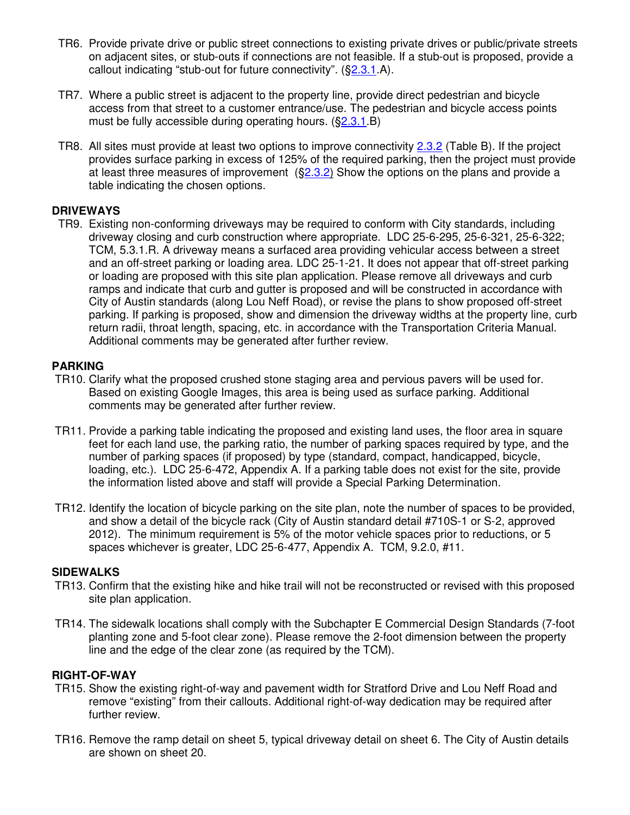- TR6. Provide private drive or public street connections to existing private drives or public/private streets on adjacent sites, or stub-outs if connections are not feasible. If a stub-out is proposed, provide a callout indicating "stub-out for future connectivity". (§2.3.1.A).
- TR7. Where a public street is adjacent to the property line, provide direct pedestrian and bicycle access from that street to a customer entrance/use. The pedestrian and bicycle access points must be fully accessible during operating hours. (§2.3.1.B)
- TR8. All sites must provide at least two options to improve connectivity 2.3.2 (Table B). If the project provides surface parking in excess of 125% of the required parking, then the project must provide at least three measures of improvement  $(S<sub>2.3.2</sub>)$  Show the options on the plans and provide a table indicating the chosen options.

## **DRIVEWAYS**

TR9. Existing non-conforming driveways may be required to conform with City standards, including driveway closing and curb construction where appropriate. LDC 25-6-295, 25-6-321, 25-6-322; TCM, 5.3.1.R. A driveway means a surfaced area providing vehicular access between a street and an off-street parking or loading area. LDC 25-1-21. It does not appear that off-street parking or loading are proposed with this site plan application. Please remove all driveways and curb ramps and indicate that curb and gutter is proposed and will be constructed in accordance with City of Austin standards (along Lou Neff Road), or revise the plans to show proposed off-street parking. If parking is proposed, show and dimension the driveway widths at the property line, curb return radii, throat length, spacing, etc. in accordance with the Transportation Criteria Manual. Additional comments may be generated after further review.

## **PARKING**

- TR10. Clarify what the proposed crushed stone staging area and pervious pavers will be used for. Based on existing Google Images, this area is being used as surface parking. Additional comments may be generated after further review.
- TR11. Provide a parking table indicating the proposed and existing land uses, the floor area in square feet for each land use, the parking ratio, the number of parking spaces required by type, and the number of parking spaces (if proposed) by type (standard, compact, handicapped, bicycle, loading, etc.). LDC 25-6-472, Appendix A. If a parking table does not exist for the site, provide the information listed above and staff will provide a Special Parking Determination.
- TR12. Identify the location of bicycle parking on the site plan, note the number of spaces to be provided, and show a detail of the bicycle rack (City of Austin standard detail #710S-1 or S-2, approved 2012). The minimum requirement is 5% of the motor vehicle spaces prior to reductions, or 5 spaces whichever is greater, LDC 25-6-477, Appendix A. TCM, 9.2.0, #11.

## **SIDEWALKS**

- TR13. Confirm that the existing hike and hike trail will not be reconstructed or revised with this proposed site plan application.
- TR14. The sidewalk locations shall comply with the Subchapter E Commercial Design Standards (7-foot planting zone and 5-foot clear zone). Please remove the 2-foot dimension between the property line and the edge of the clear zone (as required by the TCM).

## **RIGHT-OF-WAY**

- TR15. Show the existing right-of-way and pavement width for Stratford Drive and Lou Neff Road and remove "existing" from their callouts. Additional right-of-way dedication may be required after further review.
- TR16. Remove the ramp detail on sheet 5, typical driveway detail on sheet 6. The City of Austin details are shown on sheet 20.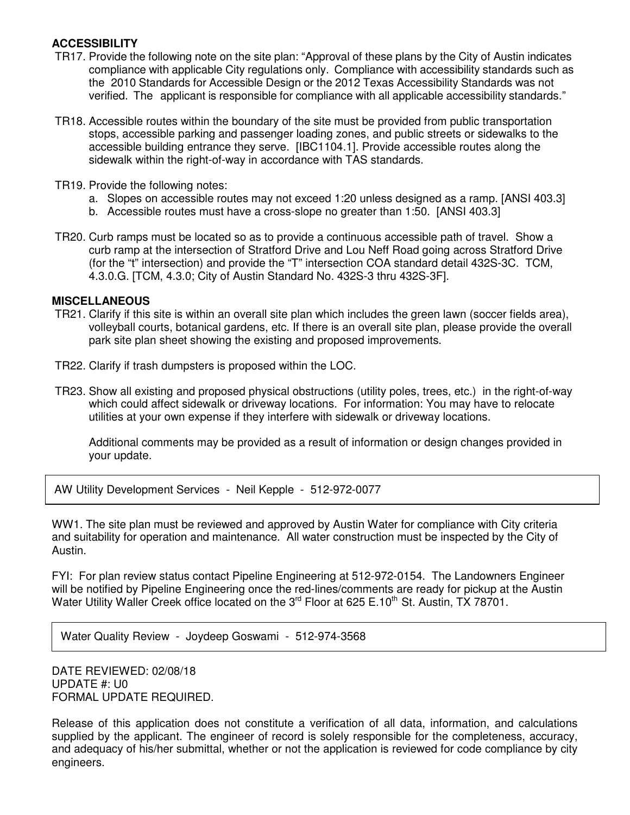## **ACCESSIBILITY**

- TR17. Provide the following note on the site plan: "Approval of these plans by the City of Austin indicates compliance with applicable City regulations only. Compliance with accessibility standards such as the 2010 Standards for Accessible Design or the 2012 Texas Accessibility Standards was not verified. The applicant is responsible for compliance with all applicable accessibility standards."
- TR18. Accessible routes within the boundary of the site must be provided from public transportation stops, accessible parking and passenger loading zones, and public streets or sidewalks to the accessible building entrance they serve. [IBC1104.1]. Provide accessible routes along the sidewalk within the right-of-way in accordance with TAS standards.
- TR19. Provide the following notes:
	- a. Slopes on accessible routes may not exceed 1:20 unless designed as a ramp. [ANSI 403.3]
	- b. Accessible routes must have a cross-slope no greater than 1:50. [ANSI 403.3]
- TR20. Curb ramps must be located so as to provide a continuous accessible path of travel. Show a curb ramp at the intersection of Stratford Drive and Lou Neff Road going across Stratford Drive (for the "t" intersection) and provide the "T" intersection COA standard detail 432S-3C. TCM, 4.3.0.G. [TCM, 4.3.0; City of Austin Standard No. 432S-3 thru 432S-3F].

### **MISCELLANEOUS**

- TR21. Clarify if this site is within an overall site plan which includes the green lawn (soccer fields area), volleyball courts, botanical gardens, etc. If there is an overall site plan, please provide the overall park site plan sheet showing the existing and proposed improvements.
- TR22. Clarify if trash dumpsters is proposed within the LOC.
- TR23. Show all existing and proposed physical obstructions (utility poles, trees, etc.) in the right-of-way which could affect sidewalk or driveway locations. For information: You may have to relocate utilities at your own expense if they interfere with sidewalk or driveway locations.

Additional comments may be provided as a result of information or design changes provided in your update.

AW Utility Development Services - Neil Kepple - 512-972-0077

WW1. The site plan must be reviewed and approved by Austin Water for compliance with City criteria and suitability for operation and maintenance. All water construction must be inspected by the City of Austin.

FYI: For plan review status contact Pipeline Engineering at 512-972-0154. The Landowners Engineer will be notified by Pipeline Engineering once the red-lines/comments are ready for pickup at the Austin Water Utility Waller Creek office located on the 3<sup>rd</sup> Floor at 625 E.10<sup>th</sup> St. Austin, TX 78701.

Water Quality Review - Joydeep Goswami - 512-974-3568

DATE REVIEWED: 02/08/18 UPDATE #: U0 FORMAL UPDATE REQUIRED.

Release of this application does not constitute a verification of all data, information, and calculations supplied by the applicant. The engineer of record is solely responsible for the completeness, accuracy, and adequacy of his/her submittal, whether or not the application is reviewed for code compliance by city engineers.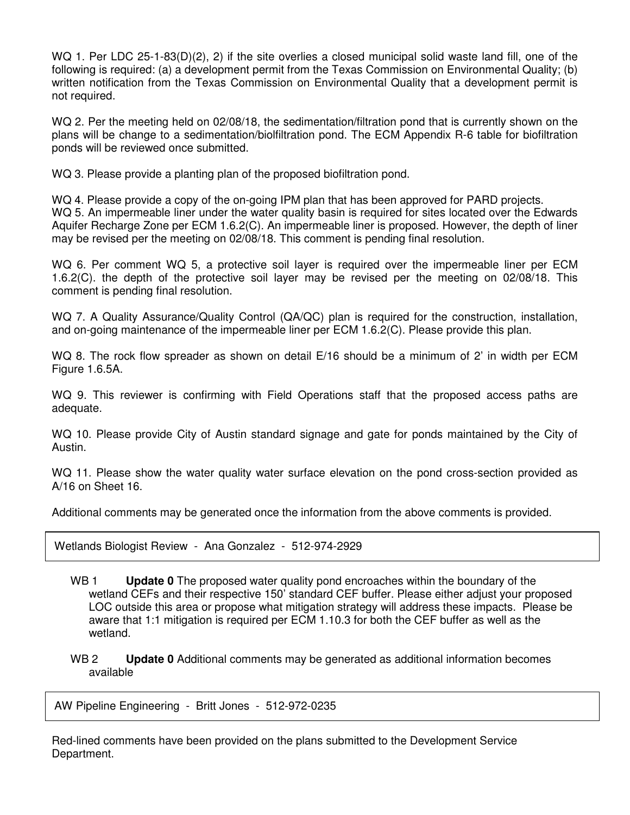WQ 1. Per LDC 25-1-83(D)(2), 2) if the site overlies a closed municipal solid waste land fill, one of the following is required: (a) a development permit from the Texas Commission on Environmental Quality; (b) written notification from the Texas Commission on Environmental Quality that a development permit is not required.

WQ 2. Per the meeting held on 02/08/18, the sedimentation/filtration pond that is currently shown on the plans will be change to a sedimentation/biolfiltration pond. The ECM Appendix R-6 table for biofiltration ponds will be reviewed once submitted.

WQ 3. Please provide a planting plan of the proposed biofiltration pond.

WQ 4. Please provide a copy of the on-going IPM plan that has been approved for PARD projects. WQ 5. An impermeable liner under the water quality basin is required for sites located over the Edwards Aquifer Recharge Zone per ECM 1.6.2(C). An impermeable liner is proposed. However, the depth of liner may be revised per the meeting on 02/08/18. This comment is pending final resolution.

WQ 6. Per comment WQ 5, a protective soil layer is required over the impermeable liner per ECM 1.6.2(C). the depth of the protective soil layer may be revised per the meeting on 02/08/18. This comment is pending final resolution.

WQ 7. A Quality Assurance/Quality Control (QA/QC) plan is required for the construction, installation, and on-going maintenance of the impermeable liner per ECM 1.6.2(C). Please provide this plan.

WQ 8. The rock flow spreader as shown on detail E/16 should be a minimum of 2' in width per ECM Figure 1.6.5A.

WQ 9. This reviewer is confirming with Field Operations staff that the proposed access paths are adequate.

WQ 10. Please provide City of Austin standard signage and gate for ponds maintained by the City of Austin.

WQ 11. Please show the water quality water surface elevation on the pond cross-section provided as A/16 on Sheet 16.

Additional comments may be generated once the information from the above comments is provided.

Wetlands Biologist Review - Ana Gonzalez - 512-974-2929

- WB 1 **Update 0** The proposed water quality pond encroaches within the boundary of the wetland CEFs and their respective 150' standard CEF buffer. Please either adjust your proposed LOC outside this area or propose what mitigation strategy will address these impacts. Please be aware that 1:1 mitigation is required per ECM 1.10.3 for both the CEF buffer as well as the wetland.
- WB 2 **Update 0** Additional comments may be generated as additional information becomes available

AW Pipeline Engineering - Britt Jones - 512-972-0235

Red-lined comments have been provided on the plans submitted to the Development Service Department.